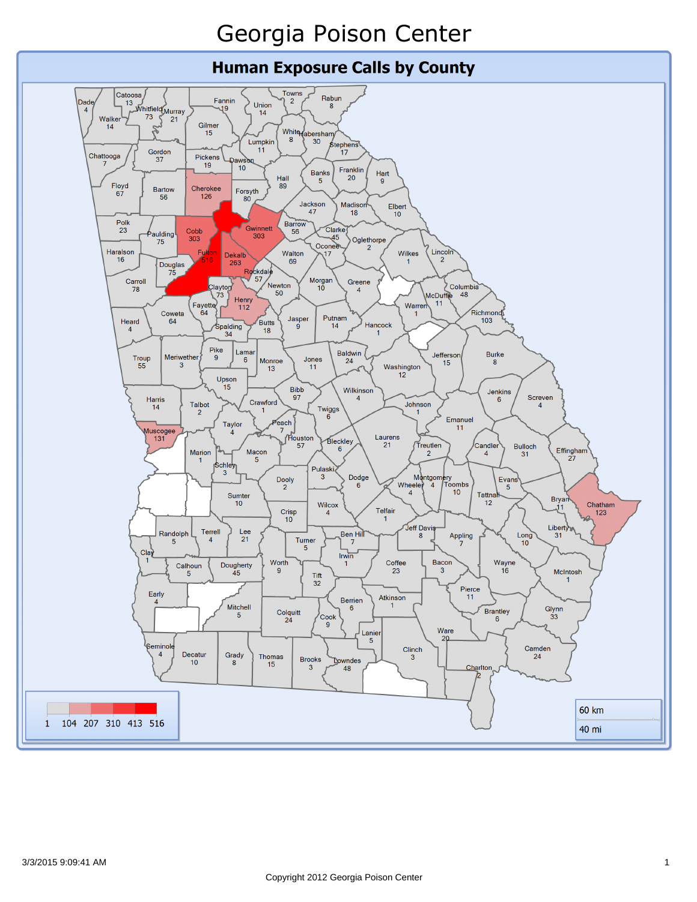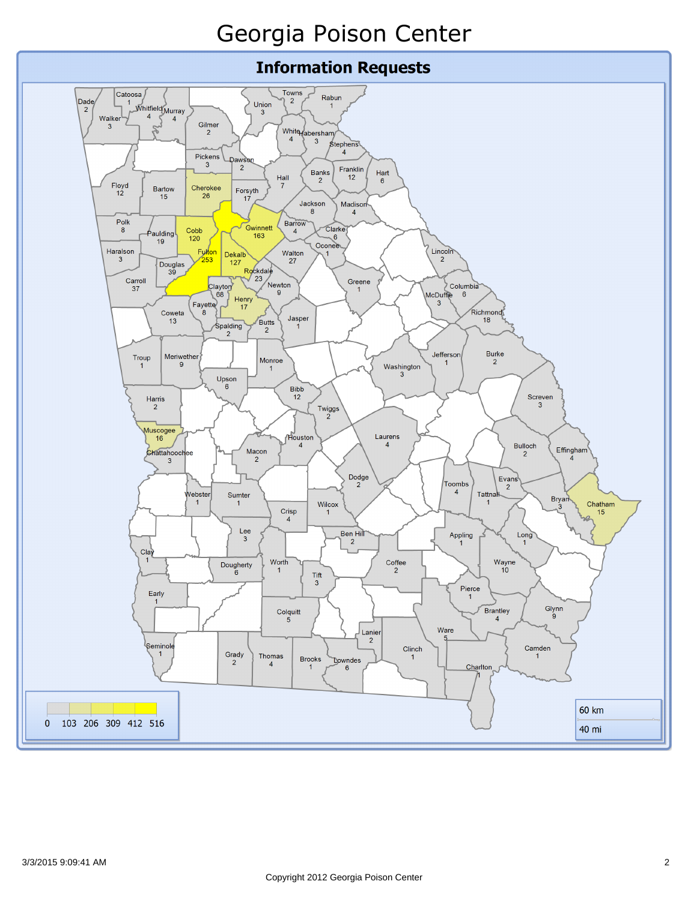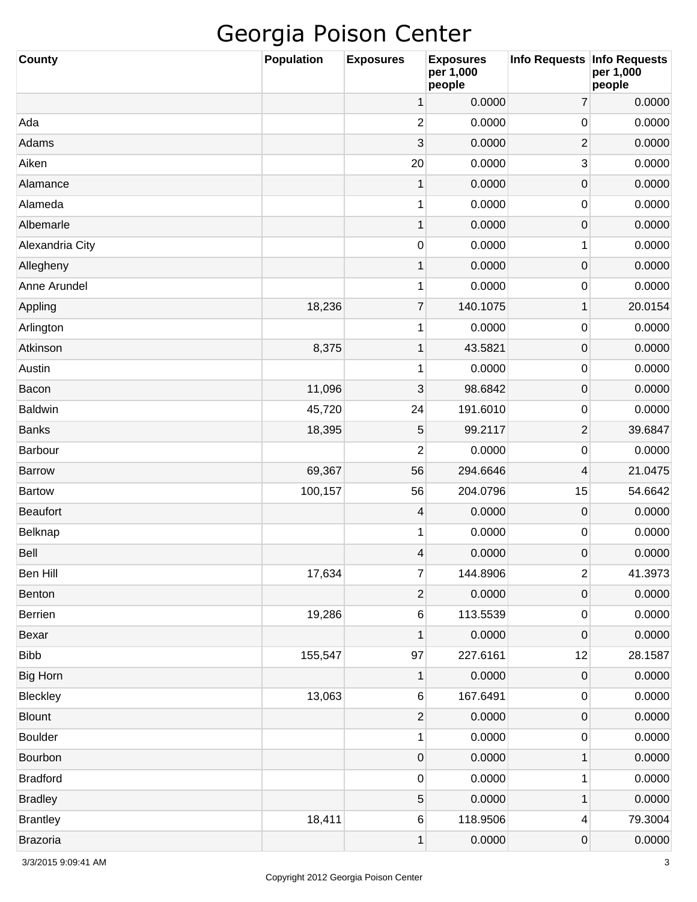| <b>County</b>   | <b>Population</b> | <b>Exposures</b> | <b>Exposures</b><br>per 1,000<br>people | Info Requests   Info Requests | per 1,000<br>people |
|-----------------|-------------------|------------------|-----------------------------------------|-------------------------------|---------------------|
|                 |                   | 1                | 0.0000                                  | $\overline{7}$                | 0.0000              |
| Ada             |                   | 2                | 0.0000                                  | 0                             | 0.0000              |
| Adams           |                   | 3                | 0.0000                                  | $\overline{c}$                | 0.0000              |
| Aiken           |                   | 20               | 0.0000                                  | 3                             | 0.0000              |
| Alamance        |                   | $\mathbf 1$      | 0.0000                                  | $\mathsf{O}\xspace$           | 0.0000              |
| Alameda         |                   | 1                | 0.0000                                  | 0                             | 0.0000              |
| Albemarle       |                   | $\mathbf 1$      | 0.0000                                  | $\mathsf{O}\xspace$           | 0.0000              |
| Alexandria City |                   | 0                | 0.0000                                  | 1                             | 0.0000              |
| Allegheny       |                   | $\mathbf 1$      | 0.0000                                  | $\mathsf{O}\xspace$           | 0.0000              |
| Anne Arundel    |                   | 1                | 0.0000                                  | 0                             | 0.0000              |
| Appling         | 18,236            | $\overline{7}$   | 140.1075                                | $\mathbf 1$                   | 20.0154             |
| Arlington       |                   | 1                | 0.0000                                  | 0                             | 0.0000              |
| Atkinson        | 8,375             | $\mathbf 1$      | 43.5821                                 | $\mathsf{O}\xspace$           | 0.0000              |
| Austin          |                   | 1                | 0.0000                                  | 0                             | 0.0000              |
| Bacon           | 11,096            | 3                | 98.6842                                 | $\mathsf{O}\xspace$           | 0.0000              |
| <b>Baldwin</b>  | 45,720            | 24               | 191.6010                                | 0                             | 0.0000              |
| <b>Banks</b>    | 18,395            | 5                | 99.2117                                 | $\overline{2}$                | 39.6847             |
| Barbour         |                   | 2                | 0.0000                                  | 0                             | 0.0000              |
| <b>Barrow</b>   | 69,367            | 56               | 294.6646                                | 4                             | 21.0475             |
| <b>Bartow</b>   | 100,157           | 56               | 204.0796                                | 15                            | 54.6642             |
| <b>Beaufort</b> |                   | 4                | 0.0000                                  | $\mathsf{O}\xspace$           | 0.0000              |
| Belknap         |                   | 1                | 0.0000                                  | 0                             | 0.0000              |
| Bell            |                   | 4                | 0.0000                                  | $\mathbf 0$                   | 0.0000              |
| Ben Hill        | 17,634            | $\overline{7}$   | 144.8906                                | $\overline{c}$                | 41.3973             |
| Benton          |                   | $\overline{c}$   | 0.0000                                  | 0                             | 0.0000              |
| <b>Berrien</b>  | 19,286            | $\sqrt{6}$       | 113.5539                                | 0                             | 0.0000              |
| Bexar           |                   | 1                | 0.0000                                  | $\mathsf{O}\xspace$           | 0.0000              |
| <b>Bibb</b>     | 155,547           | 97               | 227.6161                                | 12                            | 28.1587             |
| <b>Big Horn</b> |                   | 1                | 0.0000                                  | $\mathsf{O}\xspace$           | 0.0000              |
| Bleckley        | 13,063            | $\sqrt{6}$       | 167.6491                                | 0                             | 0.0000              |
| <b>Blount</b>   |                   | $\overline{2}$   | 0.0000                                  | $\mathsf{O}\xspace$           | 0.0000              |
| <b>Boulder</b>  |                   | 1                | 0.0000                                  | 0                             | 0.0000              |
| Bourbon         |                   | $\pmb{0}$        | 0.0000                                  | 1                             | 0.0000              |
| <b>Bradford</b> |                   | $\pmb{0}$        | 0.0000                                  | 1                             | 0.0000              |
| <b>Bradley</b>  |                   | 5                | 0.0000                                  | 1                             | 0.0000              |
| <b>Brantley</b> | 18,411            | $\sqrt{6}$       | 118.9506                                | 4                             | 79.3004             |
| <b>Brazoria</b> |                   | 1                | 0.0000                                  | 0                             | 0.0000              |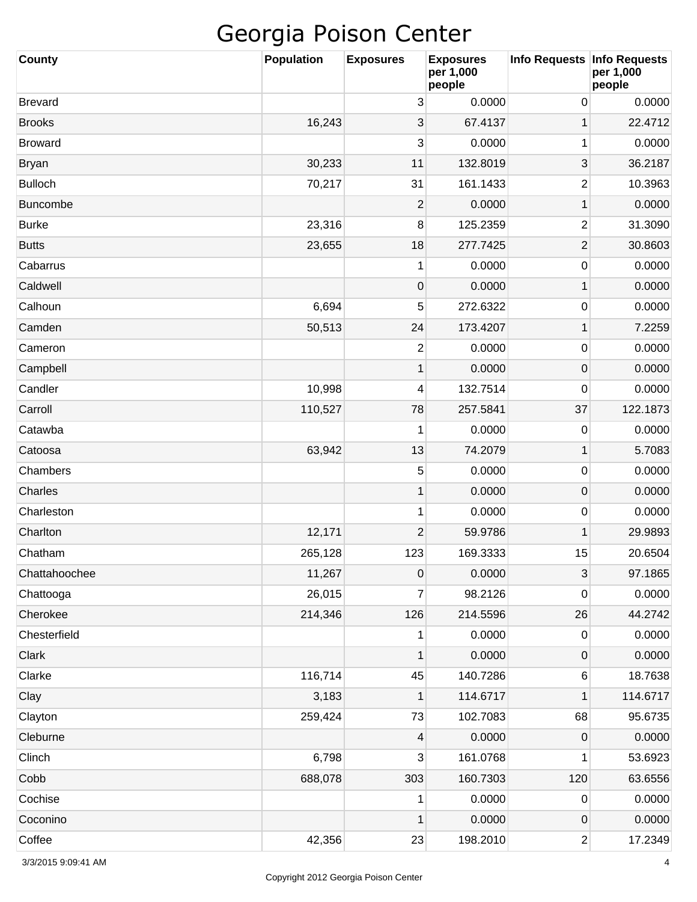| <b>County</b>   | <b>Population</b> | <b>Exposures</b> | <b>Exposures</b><br>per 1,000<br>people | Info Requests   Info Requests | per 1,000<br>people |
|-----------------|-------------------|------------------|-----------------------------------------|-------------------------------|---------------------|
| <b>Brevard</b>  |                   | 3                | 0.0000                                  | 0                             | 0.0000              |
| <b>Brooks</b>   | 16,243            | 3                | 67.4137                                 | 1                             | 22.4712             |
| <b>Broward</b>  |                   | 3                | 0.0000                                  | 1                             | 0.0000              |
| <b>Bryan</b>    | 30,233            | 11               | 132.8019                                | 3                             | 36.2187             |
| <b>Bulloch</b>  | 70,217            | 31               | 161.1433                                | $\overline{2}$                | 10.3963             |
| <b>Buncombe</b> |                   | $\overline{c}$   | 0.0000                                  | 1                             | 0.0000              |
| <b>Burke</b>    | 23,316            | 8                | 125.2359                                | $\overline{2}$                | 31.3090             |
| <b>Butts</b>    | 23,655            | 18               | 277.7425                                | $\mathbf{2}$                  | 30.8603             |
| Cabarrus        |                   | 1                | 0.0000                                  | 0                             | 0.0000              |
| Caldwell        |                   | 0                | 0.0000                                  | 1                             | 0.0000              |
| Calhoun         | 6,694             | 5                | 272.6322                                | 0                             | 0.0000              |
| Camden          | 50,513            | 24               | 173.4207                                | 1                             | 7.2259              |
| Cameron         |                   | $\mathbf{2}$     | 0.0000                                  | 0                             | 0.0000              |
| Campbell        |                   | 1                | 0.0000                                  | 0                             | 0.0000              |
| Candler         | 10,998            | 4                | 132.7514                                | 0                             | 0.0000              |
| Carroll         | 110,527           | 78               | 257.5841                                | 37                            | 122.1873            |
| Catawba         |                   | 1                | 0.0000                                  | 0                             | 0.0000              |
| Catoosa         | 63,942            | 13               | 74.2079                                 | 1                             | 5.7083              |
| Chambers        |                   | 5                | 0.0000                                  | 0                             | 0.0000              |
| Charles         |                   | 1                | 0.0000                                  | 0                             | 0.0000              |
| Charleston      |                   | 1                | 0.0000                                  | 0                             | 0.0000              |
| Charlton        | 12,171            | $\overline{c}$   | 59.9786                                 | 1                             | 29.9893             |
| Chatham         | 265,128           | 123              | 169.3333                                | 15                            | 20.6504             |
| Chattahoochee   | 11,267            | $\pmb{0}$        | 0.0000                                  | 3                             | 97.1865             |
| Chattooga       | 26,015            | 7                | 98.2126                                 | 0                             | 0.0000              |
| Cherokee        | 214,346           | 126              | 214.5596                                | 26                            | 44.2742             |
| Chesterfield    |                   | 1                | 0.0000                                  | 0                             | 0.0000              |
| Clark           |                   | 1                | 0.0000                                  | 0                             | 0.0000              |
| Clarke          | 116,714           | 45               | 140.7286                                | 6                             | 18.7638             |
| Clay            | 3,183             | 1                | 114.6717                                | 1                             | 114.6717            |
| Clayton         | 259,424           | 73               | 102.7083                                | 68                            | 95.6735             |
| Cleburne        |                   | 4                | 0.0000                                  | 0                             | 0.0000              |
| Clinch          | 6,798             | 3                | 161.0768                                | 1                             | 53.6923             |
| Cobb            | 688,078           | 303              | 160.7303                                | 120                           | 63.6556             |
| Cochise         |                   | 1                | 0.0000                                  | 0                             | 0.0000              |
| Coconino        |                   | 1                | 0.0000                                  | 0                             | 0.0000              |
| Coffee          | 42,356            | 23               | 198.2010                                | $\overline{2}$                | 17.2349             |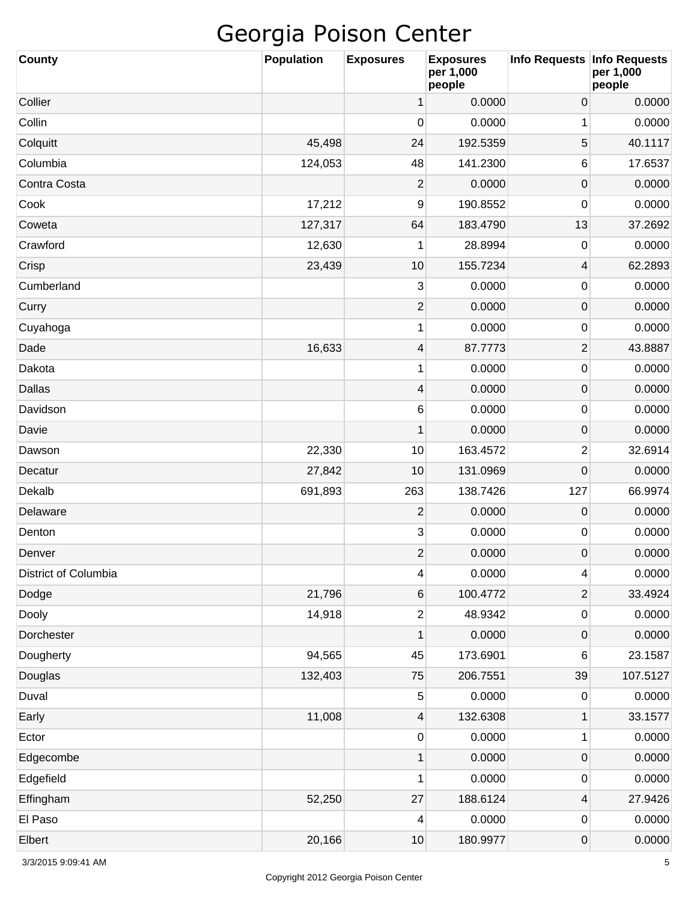| <b>County</b>               | <b>Population</b> | <b>Exposures</b>        | <b>Exposures</b><br>per 1,000<br>people | Info Requests   Info Requests | per 1,000<br>people |
|-----------------------------|-------------------|-------------------------|-----------------------------------------|-------------------------------|---------------------|
| Collier                     |                   | 1                       | 0.0000                                  | 0                             | 0.0000              |
| Collin                      |                   | 0                       | 0.0000                                  | 1                             | 0.0000              |
| Colquitt                    | 45,498            | 24                      | 192.5359                                | 5                             | 40.1117             |
| Columbia                    | 124,053           | 48                      | 141.2300                                | 6                             | 17.6537             |
| Contra Costa                |                   | 2                       | 0.0000                                  | $\pmb{0}$                     | 0.0000              |
| Cook                        | 17,212            | 9                       | 190.8552                                | $\mathbf 0$                   | 0.0000              |
| Coweta                      | 127,317           | 64                      | 183.4790                                | 13                            | 37.2692             |
| Crawford                    | 12,630            | 1                       | 28.8994                                 | 0                             | 0.0000              |
| Crisp                       | 23,439            | 10                      | 155.7234                                | 4                             | 62.2893             |
| Cumberland                  |                   | 3                       | 0.0000                                  | 0                             | 0.0000              |
| Curry                       |                   | $\overline{2}$          | 0.0000                                  | $\pmb{0}$                     | 0.0000              |
| Cuyahoga                    |                   | 1                       | 0.0000                                  | $\mathbf 0$                   | 0.0000              |
| Dade                        | 16,633            | 4                       | 87.7773                                 | $\overline{2}$                | 43.8887             |
| Dakota                      |                   | 1                       | 0.0000                                  | 0                             | 0.0000              |
| Dallas                      |                   | 4                       | 0.0000                                  | $\pmb{0}$                     | 0.0000              |
| Davidson                    |                   | 6                       | 0.0000                                  | $\mathbf 0$                   | 0.0000              |
| Davie                       |                   | 1                       | 0.0000                                  | $\pmb{0}$                     | 0.0000              |
| Dawson                      | 22,330            | 10                      | 163.4572                                | 2                             | 32.6914             |
| Decatur                     | 27,842            | 10                      | 131.0969                                | 0                             | 0.0000              |
| Dekalb                      | 691,893           | 263                     | 138.7426                                | 127                           | 66.9974             |
| Delaware                    |                   | $\overline{2}$          | 0.0000                                  | $\pmb{0}$                     | 0.0000              |
| Denton                      |                   | 3                       | 0.0000                                  | 0                             | 0.0000              |
| Denver                      |                   | $\overline{2}$          | 0.0000                                  | 0                             | 0.0000              |
| <b>District of Columbia</b> |                   | $\overline{4}$          | 0.0000                                  | 4                             | 0.0000              |
| Dodge                       | 21,796            | 6                       | 100.4772                                | $\overline{\mathbf{c}}$       | 33.4924             |
| Dooly                       | 14,918            | $\overline{\mathbf{c}}$ | 48.9342                                 | $\pmb{0}$                     | 0.0000              |
| Dorchester                  |                   | 1                       | 0.0000                                  | $\pmb{0}$                     | 0.0000              |
| Dougherty                   | 94,565            | 45                      | 173.6901                                | 6                             | 23.1587             |
| Douglas                     | 132,403           | 75                      | 206.7551                                | 39                            | 107.5127            |
| Duval                       |                   | 5                       | 0.0000                                  | 0                             | 0.0000              |
| Early                       | 11,008            | $\overline{4}$          | 132.6308                                | $\mathbf 1$                   | 33.1577             |
| Ector                       |                   | $\pmb{0}$               | 0.0000                                  | 1                             | 0.0000              |
| Edgecombe                   |                   | 1                       | 0.0000                                  | $\pmb{0}$                     | 0.0000              |
| Edgefield                   |                   | 1                       | 0.0000                                  | $\pmb{0}$                     | 0.0000              |
| Effingham                   | 52,250            | 27                      | 188.6124                                | 4                             | 27.9426             |
| El Paso                     |                   | 4                       | 0.0000                                  | 0                             | 0.0000              |
| Elbert                      | 20,166            | $10$                    | 180.9977                                | 0                             | 0.0000              |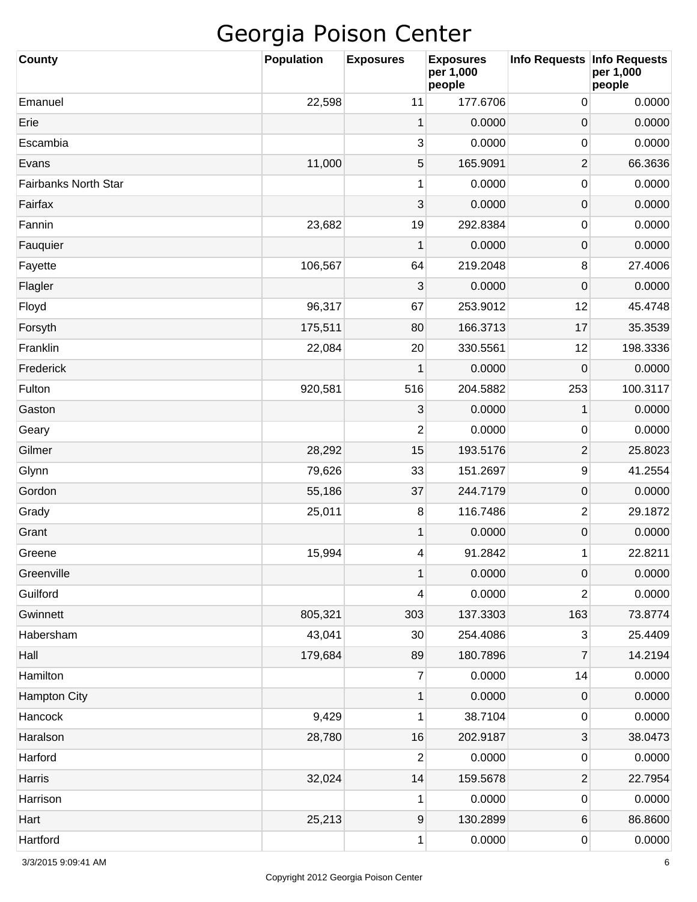| County                      | Population | <b>Exposures</b> | <b>Exposures</b><br>per 1,000<br>people | Info Requests Info Requests | per 1,000<br>people |
|-----------------------------|------------|------------------|-----------------------------------------|-----------------------------|---------------------|
| Emanuel                     | 22,598     | 11               | 177.6706                                | 0                           | 0.0000              |
| Erie                        |            | 1                | 0.0000                                  | 0                           | 0.0000              |
| Escambia                    |            | 3                | 0.0000                                  | 0                           | 0.0000              |
| Evans                       | 11,000     | 5                | 165.9091                                | $\overline{\mathbf{c}}$     | 66.3636             |
| <b>Fairbanks North Star</b> |            | $\mathbf{1}$     | 0.0000                                  | 0                           | 0.0000              |
| Fairfax                     |            | 3                | 0.0000                                  | $\pmb{0}$                   | 0.0000              |
| Fannin                      | 23,682     | 19               | 292.8384                                | 0                           | 0.0000              |
| Fauquier                    |            | 1                | 0.0000                                  | 0                           | 0.0000              |
| Fayette                     | 106,567    | 64               | 219.2048                                | 8                           | 27.4006             |
| Flagler                     |            | 3                | 0.0000                                  | $\mathbf 0$                 | 0.0000              |
| Floyd                       | 96,317     | 67               | 253.9012                                | 12                          | 45.4748             |
| Forsyth                     | 175,511    | 80               | 166.3713                                | 17                          | 35.3539             |
| Franklin                    | 22,084     | 20               | 330.5561                                | 12                          | 198.3336            |
| Frederick                   |            | 1                | 0.0000                                  | $\mathbf 0$                 | 0.0000              |
| Fulton                      | 920,581    | 516              | 204.5882                                | 253                         | 100.3117            |
| Gaston                      |            | 3                | 0.0000                                  | 1                           | 0.0000              |
| Geary                       |            | 2                | 0.0000                                  | 0                           | 0.0000              |
| Gilmer                      | 28,292     | 15               | 193.5176                                | 2                           | 25.8023             |
| Glynn                       | 79,626     | 33               | 151.2697                                | 9                           | 41.2554             |
| Gordon                      | 55,186     | 37               | 244.7179                                | $\pmb{0}$                   | 0.0000              |
| Grady                       | 25,011     | 8                | 116.7486                                | $\boldsymbol{2}$            | 29.1872             |
| Grant                       |            | 1                | 0.0000                                  | 0                           | 0.0000              |
| Greene                      | 15,994     | 4                | 91.2842                                 | 1                           | 22.8211             |
| Greenville                  |            | $\mathbf{1}$     | 0.0000                                  | $\boldsymbol{0}$            | 0.0000              |
| Guilford                    |            | 4                | 0.0000                                  | 2                           | 0.0000              |
| Gwinnett                    | 805,321    | 303              | 137.3303                                | 163                         | 73.8774             |
| Habersham                   | 43,041     | 30               | 254.4086                                | 3                           | 25.4409             |
| Hall                        | 179,684    | 89               | 180.7896                                | 7                           | 14.2194             |
| Hamilton                    |            | $\boldsymbol{7}$ | 0.0000                                  | 14                          | 0.0000              |
| <b>Hampton City</b>         |            | $\mathbf 1$      | 0.0000                                  | $\pmb{0}$                   | 0.0000              |
| Hancock                     | 9,429      | 1                | 38.7104                                 | 0                           | 0.0000              |
| Haralson                    | 28,780     | 16               | 202.9187                                | 3                           | 38.0473             |
| Harford                     |            | 2                | 0.0000                                  | 0                           | 0.0000              |
| Harris                      | 32,024     | 14               | 159.5678                                | $\boldsymbol{2}$            | 22.7954             |
| Harrison                    |            | 1                | 0.0000                                  | 0                           | 0.0000              |
| Hart                        | 25,213     | $\boldsymbol{9}$ | 130.2899                                | 6                           | 86.8600             |
| Hartford                    |            | 1                | 0.0000                                  | 0                           | 0.0000              |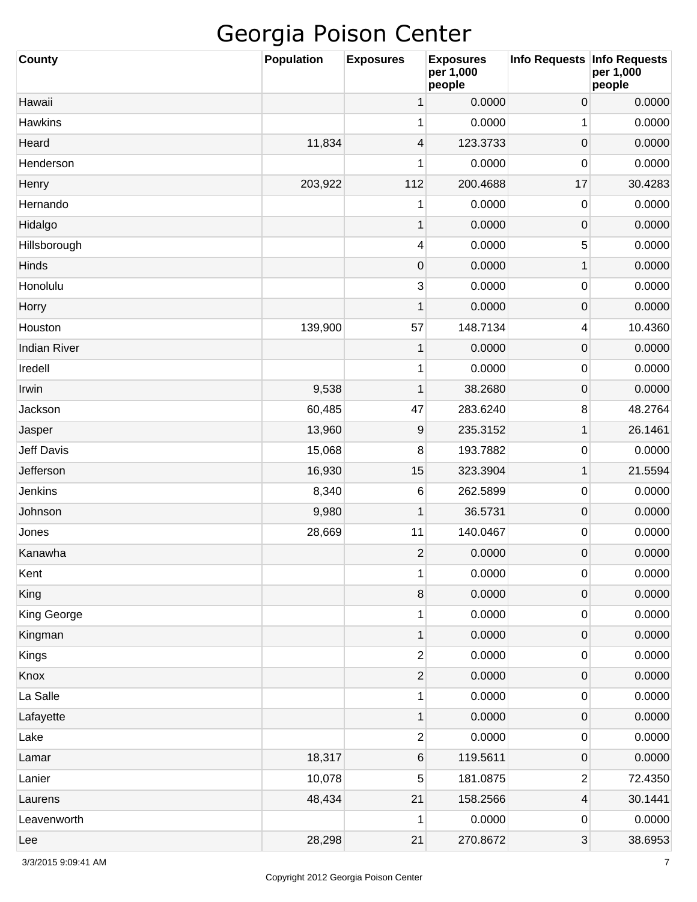| <b>County</b>       | <b>Population</b> | <b>Exposures</b>        | <b>Exposures</b><br>per 1,000<br>people | Info Requests Info Requests | per 1,000<br>people |
|---------------------|-------------------|-------------------------|-----------------------------------------|-----------------------------|---------------------|
| Hawaii              |                   | 1                       | 0.0000                                  | $\mathsf{O}\xspace$         | 0.0000              |
| Hawkins             |                   | 1                       | 0.0000                                  | 1                           | 0.0000              |
| Heard               | 11,834            | 4                       | 123.3733                                | $\mathsf{O}\xspace$         | 0.0000              |
| Henderson           |                   | 1                       | 0.0000                                  | $\mathbf 0$                 | 0.0000              |
| Henry               | 203,922           | 112                     | 200.4688                                | 17                          | 30.4283             |
| Hernando            |                   | 1                       | 0.0000                                  | $\mathbf 0$                 | 0.0000              |
| Hidalgo             |                   | 1                       | 0.0000                                  | $\mathsf{O}\xspace$         | 0.0000              |
| Hillsborough        |                   | 4                       | 0.0000                                  | 5                           | 0.0000              |
| Hinds               |                   | $\boldsymbol{0}$        | 0.0000                                  | 1                           | 0.0000              |
| Honolulu            |                   | 3                       | 0.0000                                  | 0                           | 0.0000              |
| Horry               |                   | 1                       | 0.0000                                  | $\mathsf{O}\xspace$         | 0.0000              |
| Houston             | 139,900           | 57                      | 148.7134                                | 4                           | 10.4360             |
| <b>Indian River</b> |                   | 1                       | 0.0000                                  | $\mathsf{O}\xspace$         | 0.0000              |
| Iredell             |                   | 1                       | 0.0000                                  | 0                           | 0.0000              |
| Irwin               | 9,538             | 1                       | 38.2680                                 | $\mathsf{O}\xspace$         | 0.0000              |
| Jackson             | 60,485            | 47                      | 283.6240                                | 8                           | 48.2764             |
| Jasper              | 13,960            | 9                       | 235.3152                                | $\mathbf 1$                 | 26.1461             |
| <b>Jeff Davis</b>   | 15,068            | 8                       | 193.7882                                | 0                           | 0.0000              |
| Jefferson           | 16,930            | 15                      | 323.3904                                | $\mathbf 1$                 | 21.5594             |
| Jenkins             | 8,340             | 6                       | 262.5899                                | 0                           | 0.0000              |
| Johnson             | 9,980             | 1                       | 36.5731                                 | $\mathsf{O}\xspace$         | 0.0000              |
| Jones               | 28,669            | 11                      | 140.0467                                | 0                           | 0.0000              |
| Kanawha             |                   | $\overline{2}$          | 0.0000                                  | $\mathsf 0$                 | 0.0000              |
| Kent                |                   | 1                       | 0.0000                                  | $\pmb{0}$                   | 0.0000              |
| King                |                   | $\,8\,$                 | 0.0000                                  | 0                           | 0.0000              |
| King George         |                   | 1                       | 0.0000                                  | 0                           | 0.0000              |
| Kingman             |                   | 1                       | 0.0000                                  | 0                           | 0.0000              |
| Kings               |                   | $\overline{c}$          | 0.0000                                  | 0                           | 0.0000              |
| Knox                |                   | $\mathbf{2}$            | 0.0000                                  | 0                           | 0.0000              |
| La Salle            |                   | 1                       | 0.0000                                  | 0                           | 0.0000              |
| Lafayette           |                   | 1                       | 0.0000                                  | 0                           | 0.0000              |
| Lake                |                   | $\overline{\mathbf{c}}$ | 0.0000                                  | $\pmb{0}$                   | 0.0000              |
| Lamar               | 18,317            | 6                       | 119.5611                                | $\mathsf{O}\xspace$         | 0.0000              |
| Lanier              | 10,078            | 5                       | 181.0875                                | $\overline{\mathbf{c}}$     | 72.4350             |
| Laurens             | 48,434            | 21                      | 158.2566                                | 4                           | 30.1441             |
| Leavenworth         |                   | 1                       | 0.0000                                  | 0                           | 0.0000              |
| Lee                 | 28,298            | 21                      | 270.8672                                | 3                           | 38.6953             |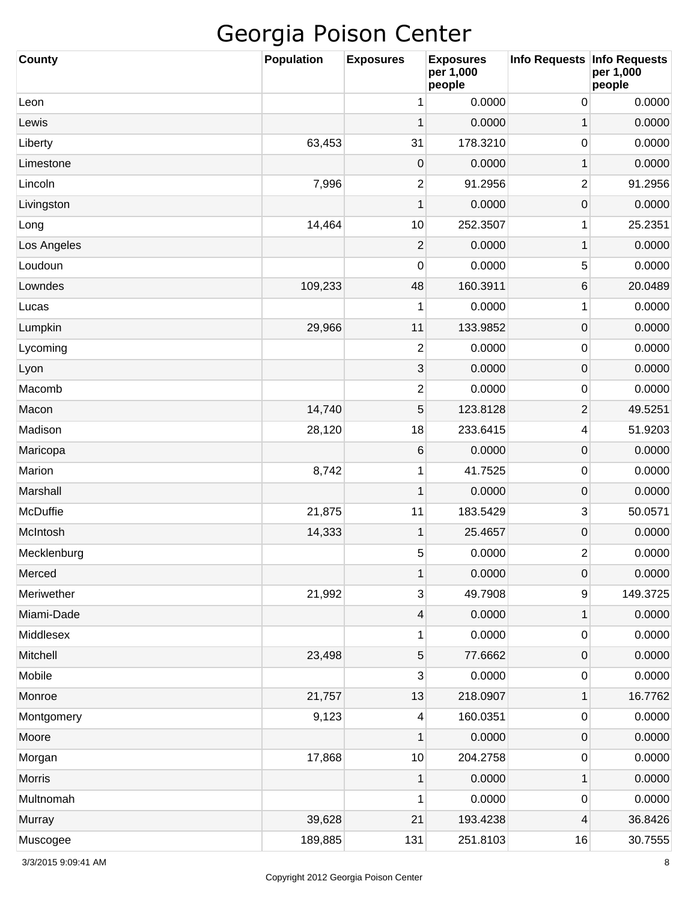| County      | <b>Population</b> | <b>Exposures</b> | <b>Exposures</b><br>per 1,000<br>people | Info Requests   Info Requests | per 1,000<br>people |
|-------------|-------------------|------------------|-----------------------------------------|-------------------------------|---------------------|
| Leon        |                   | 1                | 0.0000                                  | 0                             | 0.0000              |
| Lewis       |                   | 1                | 0.0000                                  | 1                             | 0.0000              |
| Liberty     | 63,453            | 31               | 178.3210                                | 0                             | 0.0000              |
| Limestone   |                   | 0                | 0.0000                                  | 1                             | 0.0000              |
| Lincoln     | 7,996             | 2                | 91.2956                                 | 2                             | 91.2956             |
| Livingston  |                   | 1                | 0.0000                                  | 0                             | 0.0000              |
| Long        | 14,464            | 10               | 252.3507                                | 1                             | 25.2351             |
| Los Angeles |                   | 2                | 0.0000                                  | 1                             | 0.0000              |
| Loudoun     |                   | 0                | 0.0000                                  | 5                             | 0.0000              |
| Lowndes     | 109,233           | 48               | 160.3911                                | 6                             | 20.0489             |
| Lucas       |                   | 1                | 0.0000                                  | 1                             | 0.0000              |
| Lumpkin     | 29,966            | 11               | 133.9852                                | $\pmb{0}$                     | 0.0000              |
| Lycoming    |                   | $\overline{c}$   | 0.0000                                  | 0                             | 0.0000              |
| Lyon        |                   | 3                | 0.0000                                  | $\pmb{0}$                     | 0.0000              |
| Macomb      |                   | 2                | 0.0000                                  | 0                             | 0.0000              |
| Macon       | 14,740            | 5                | 123.8128                                | 2                             | 49.5251             |
| Madison     | 28,120            | 18               | 233.6415                                | 4                             | 51.9203             |
| Maricopa    |                   | 6                | 0.0000                                  | $\pmb{0}$                     | 0.0000              |
| Marion      | 8,742             | 1                | 41.7525                                 | 0                             | 0.0000              |
| Marshall    |                   | $\mathbf 1$      | 0.0000                                  | 0                             | 0.0000              |
| McDuffie    | 21,875            | 11               | 183.5429                                | 3                             | 50.0571             |
| McIntosh    | 14,333            | 1                | 25.4657                                 | 0                             | 0.0000              |
| Mecklenburg |                   | 5                | 0.0000                                  | $\overline{c}$                | 0.0000              |
| Merced      |                   | $\mathbf{1}$     | 0.0000                                  | $\boldsymbol{0}$              | 0.0000              |
| Meriwether  | 21,992            | $\sqrt{3}$       | 49.7908                                 | 9                             | 149.3725            |
| Miami-Dade  |                   | $\overline{4}$   | 0.0000                                  | $\mathbf 1$                   | 0.0000              |
| Middlesex   |                   | 1                | 0.0000                                  | $\pmb{0}$                     | 0.0000              |
| Mitchell    | 23,498            | $\sqrt{5}$       | 77.6662                                 | $\pmb{0}$                     | 0.0000              |
| Mobile      |                   | 3                | 0.0000                                  | $\pmb{0}$                     | 0.0000              |
| Monroe      | 21,757            | 13               | 218.0907                                | $\mathbf 1$                   | 16.7762             |
| Montgomery  | 9,123             | $\overline{4}$   | 160.0351                                | $\pmb{0}$                     | 0.0000              |
| Moore       |                   | 1                | 0.0000                                  | $\pmb{0}$                     | 0.0000              |
| Morgan      | 17,868            | 10               | 204.2758                                | $\pmb{0}$                     | 0.0000              |
| Morris      |                   | $\mathbf{1}$     | 0.0000                                  | $\mathbf 1$                   | 0.0000              |
| Multnomah   |                   | 1                | 0.0000                                  | $\pmb{0}$                     | 0.0000              |
| Murray      | 39,628            | 21               | 193.4238                                | 4                             | 36.8426             |
| Muscogee    | 189,885           | 131              | 251.8103                                | 16                            | 30.7555             |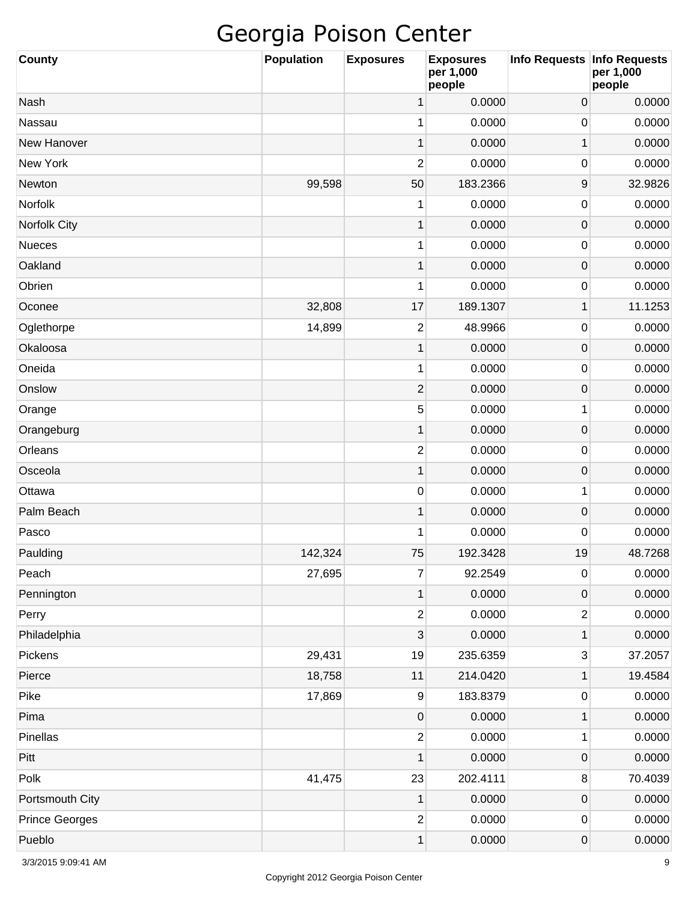| <b>County</b>         | <b>Population</b> | <b>Exposures</b> | <b>Exposures</b><br>per 1,000<br>people | Info Requests   Info Requests | per 1,000<br>people |
|-----------------------|-------------------|------------------|-----------------------------------------|-------------------------------|---------------------|
| Nash                  |                   | 1                | 0.0000                                  | 0                             | 0.0000              |
| Nassau                |                   | 1                | 0.0000                                  | 0                             | 0.0000              |
| New Hanover           |                   | 1                | 0.0000                                  | $\mathbf 1$                   | 0.0000              |
| New York              |                   | $\overline{2}$   | 0.0000                                  | 0                             | 0.0000              |
| Newton                | 99,598            | 50               | 183.2366                                | 9                             | 32.9826             |
| Norfolk               |                   | 1                | 0.0000                                  | 0                             | 0.0000              |
| Norfolk City          |                   | 1                | 0.0000                                  | $\mathsf{O}\xspace$           | 0.0000              |
| <b>Nueces</b>         |                   | 1                | 0.0000                                  | 0                             | 0.0000              |
| Oakland               |                   | 1                | 0.0000                                  | $\mathsf{O}\xspace$           | 0.0000              |
| Obrien                |                   | 1                | 0.0000                                  | 0                             | 0.0000              |
| Oconee                | 32,808            | 17               | 189.1307                                | $\mathbf 1$                   | 11.1253             |
| Oglethorpe            | 14,899            | $\mathbf{2}$     | 48.9966                                 | 0                             | 0.0000              |
| Okaloosa              |                   | 1                | 0.0000                                  | $\mathsf{O}\xspace$           | 0.0000              |
| Oneida                |                   | 1                | 0.0000                                  | 0                             | 0.0000              |
| Onslow                |                   | $\overline{c}$   | 0.0000                                  | $\mathsf{O}\xspace$           | 0.0000              |
| Orange                |                   | 5                | 0.0000                                  | 1                             | 0.0000              |
| Orangeburg            |                   | 1                | 0.0000                                  | $\mathsf{O}\xspace$           | 0.0000              |
| Orleans               |                   | $\overline{2}$   | 0.0000                                  | 0                             | 0.0000              |
| Osceola               |                   | 1                | 0.0000                                  | $\mathsf{O}\xspace$           | 0.0000              |
| Ottawa                |                   | $\pmb{0}$        | 0.0000                                  | 1                             | 0.0000              |
| Palm Beach            |                   | 1                | 0.0000                                  | $\mathsf{O}\xspace$           | 0.0000              |
| Pasco                 |                   | 1                | 0.0000                                  | 0                             | 0.0000              |
| Paulding              | 142,324           | 75               | 192.3428                                | 19                            | 48.7268             |
| Peach                 | 27,695            | $\overline{7}$   | 92.2549                                 | $\pmb{0}$                     | 0.0000              |
| Pennington            |                   | 1                | 0.0000                                  | 0                             | 0.0000              |
| Perry                 |                   | $\overline{c}$   | 0.0000                                  | $\mathbf{2}$                  | 0.0000              |
| Philadelphia          |                   | 3                | 0.0000                                  | $\mathbf 1$                   | 0.0000              |
| Pickens               | 29,431            | 19               | 235.6359                                | 3                             | 37.2057             |
| Pierce                | 18,758            | 11               | 214.0420                                | $\mathbf 1$                   | 19.4584             |
| Pike                  | 17,869            | $\boldsymbol{9}$ | 183.8379                                | $\pmb{0}$                     | 0.0000              |
| Pima                  |                   | $\pmb{0}$        | 0.0000                                  | $\mathbf 1$                   | 0.0000              |
| Pinellas              |                   | $\overline{c}$   | 0.0000                                  | 1                             | 0.0000              |
| Pitt                  |                   | 1                | 0.0000                                  | $\mathsf{O}\xspace$           | 0.0000              |
| Polk                  | 41,475            | 23               | 202.4111                                | 8                             | 70.4039             |
| Portsmouth City       |                   | 1                | 0.0000                                  | 0                             | 0.0000              |
| <b>Prince Georges</b> |                   | $\overline{c}$   | 0.0000                                  | $\pmb{0}$                     | 0.0000              |
| Pueblo                |                   | 1                | 0.0000                                  | 0                             | 0.0000              |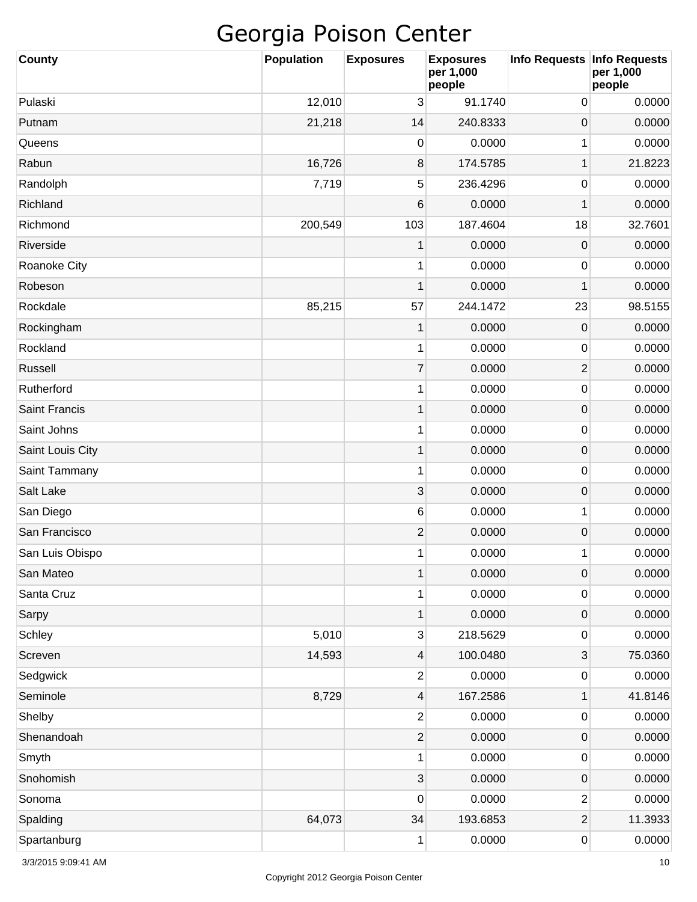| <b>County</b>        | <b>Population</b> | <b>Exposures</b> | <b>Exposures</b><br>per 1,000<br>people | Info Requests Info Requests | per 1,000<br>people |
|----------------------|-------------------|------------------|-----------------------------------------|-----------------------------|---------------------|
| Pulaski              | 12,010            | 3                | 91.1740                                 | 0                           | 0.0000              |
| Putnam               | 21,218            | 14               | 240.8333                                | 0                           | 0.0000              |
| Queens               |                   | 0                | 0.0000                                  | 1                           | 0.0000              |
| Rabun                | 16,726            | 8                | 174.5785                                | 1                           | 21.8223             |
| Randolph             | 7,719             | 5                | 236.4296                                | 0                           | 0.0000              |
| Richland             |                   | 6                | 0.0000                                  | 1                           | 0.0000              |
| Richmond             | 200,549           | 103              | 187.4604                                | 18                          | 32.7601             |
| Riverside            |                   | 1                | 0.0000                                  | 0                           | 0.0000              |
| Roanoke City         |                   | 1                | 0.0000                                  | 0                           | 0.0000              |
| Robeson              |                   | 1                | 0.0000                                  | 1                           | 0.0000              |
| Rockdale             | 85,215            | 57               | 244.1472                                | 23                          | 98.5155             |
| Rockingham           |                   | 1                | 0.0000                                  | 0                           | 0.0000              |
| Rockland             |                   | 1                | 0.0000                                  | 0                           | 0.0000              |
| Russell              |                   | $\overline{7}$   | 0.0000                                  | $\overline{2}$              | 0.0000              |
| Rutherford           |                   | 1                | 0.0000                                  | 0                           | 0.0000              |
| <b>Saint Francis</b> |                   | 1                | 0.0000                                  | 0                           | 0.0000              |
| Saint Johns          |                   | 1                | 0.0000                                  | 0                           | 0.0000              |
| Saint Louis City     |                   | 1                | 0.0000                                  | 0                           | 0.0000              |
| Saint Tammany        |                   | 1                | 0.0000                                  | 0                           | 0.0000              |
| Salt Lake            |                   | 3                | 0.0000                                  | 0                           | 0.0000              |
| San Diego            |                   | $\,6\,$          | 0.0000                                  | 1                           | 0.0000              |
| San Francisco        |                   | $\overline{c}$   | 0.0000                                  | 0                           | 0.0000              |
| San Luis Obispo      |                   | 1                | 0.0000                                  | 1                           | 0.0000              |
| San Mateo            |                   | $\mathbf 1$      | 0.0000                                  | $\mathbf 0$                 | 0.0000              |
| Santa Cruz           |                   | 1                | 0.0000                                  | 0                           | 0.0000              |
| Sarpy                |                   | $\mathbf 1$      | 0.0000                                  | $\mathsf{O}\xspace$         | 0.0000              |
| Schley               | 5,010             | 3                | 218.5629                                | 0                           | 0.0000              |
| Screven              | 14,593            | 4                | 100.0480                                | 3                           | 75.0360             |
| Sedgwick             |                   | $\overline{2}$   | 0.0000                                  | 0                           | 0.0000              |
| Seminole             | 8,729             | 4                | 167.2586                                | 1                           | 41.8146             |
| Shelby               |                   | $\overline{2}$   | 0.0000                                  | 0                           | 0.0000              |
| Shenandoah           |                   | $\overline{c}$   | 0.0000                                  | $\mathsf{O}\xspace$         | 0.0000              |
| Smyth                |                   | 1                | 0.0000                                  | 0                           | 0.0000              |
| Snohomish            |                   | 3                | 0.0000                                  | $\mathsf{O}\xspace$         | 0.0000              |
| Sonoma               |                   | 0                | 0.0000                                  | $\overline{\mathbf{c}}$     | 0.0000              |
| Spalding             | 64,073            | 34               | 193.6853                                | $\mathbf 2$                 | 11.3933             |
| Spartanburg          |                   | 1                | 0.0000                                  | 0                           | 0.0000              |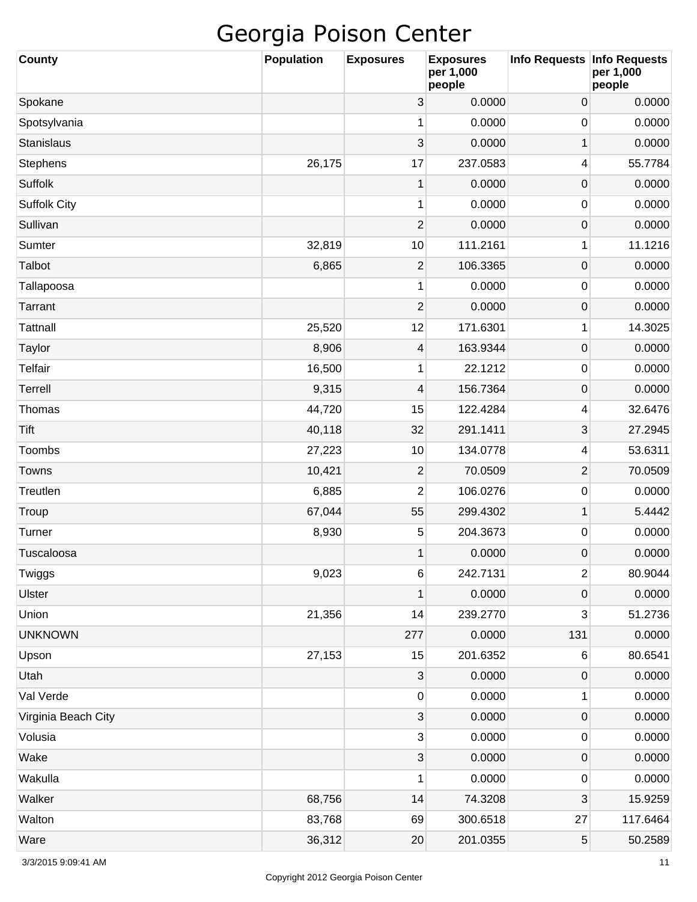| <b>County</b>       | <b>Population</b> | <b>Exposures</b>          | <b>Exposures</b><br>per 1,000<br>people | <b>Info Requests</b> | <b>Info Requests</b><br>per 1,000<br>people |
|---------------------|-------------------|---------------------------|-----------------------------------------|----------------------|---------------------------------------------|
| Spokane             |                   | 3                         | 0.0000                                  | 0                    | 0.0000                                      |
| Spotsylvania        |                   | 1                         | 0.0000                                  | 0                    | 0.0000                                      |
| <b>Stanislaus</b>   |                   | 3                         | 0.0000                                  | $\mathbf 1$          | 0.0000                                      |
| Stephens            | 26,175            | 17                        | 237.0583                                | 4                    | 55.7784                                     |
| Suffolk             |                   | $\mathbf{1}$              | 0.0000                                  | $\mathsf{O}\xspace$  | 0.0000                                      |
| <b>Suffolk City</b> |                   | 1                         | 0.0000                                  | 0                    | 0.0000                                      |
| Sullivan            |                   | $\overline{c}$            | 0.0000                                  | $\mathsf{O}\xspace$  | 0.0000                                      |
| Sumter              | 32,819            | 10                        | 111.2161                                | 1                    | 11.1216                                     |
| Talbot              | 6,865             | $\overline{2}$            | 106.3365                                | $\boldsymbol{0}$     | 0.0000                                      |
| Tallapoosa          |                   | 1                         | 0.0000                                  | 0                    | 0.0000                                      |
| Tarrant             |                   | $\overline{2}$            | 0.0000                                  | $\mathsf{O}\xspace$  | 0.0000                                      |
| <b>Tattnall</b>     | 25,520            | 12                        | 171.6301                                | 1                    | 14.3025                                     |
| Taylor              | 8,906             | 4                         | 163.9344                                | $\mathsf{O}\xspace$  | 0.0000                                      |
| <b>Telfair</b>      | 16,500            | 1                         | 22.1212                                 | 0                    | 0.0000                                      |
| Terrell             | 9,315             | 4                         | 156.7364                                | $\mathsf{O}\xspace$  | 0.0000                                      |
| Thomas              | 44,720            | 15                        | 122.4284                                | 4                    | 32.6476                                     |
| Tift                | 40,118            | 32                        | 291.1411                                | 3                    | 27.2945                                     |
| Toombs              | 27,223            | 10                        | 134.0778                                | 4                    | 53.6311                                     |
| Towns               | 10,421            | $\overline{\mathbf{c}}$   | 70.0509                                 | $\overline{c}$       | 70.0509                                     |
| Treutlen            | 6,885             | 2                         | 106.0276                                | 0                    | 0.0000                                      |
| Troup               | 67,044            | 55                        | 299.4302                                | $\mathbf{1}$         | 5.4442                                      |
| Turner              | 8,930             | 5                         | 204.3673                                | 0                    | 0.0000                                      |
| Tuscaloosa          |                   | 1                         | 0.0000                                  | $\mathsf 0$          | 0.0000                                      |
| Twiggs              | 9,023             | $\,$ 6 $\,$               | 242.7131                                | $\overline{2}$       | 80.9044                                     |
| <b>Ulster</b>       |                   | 1                         | 0.0000                                  | $\mathsf{O}\xspace$  | 0.0000                                      |
| Union               | 21,356            | 14                        | 239.2770                                | 3                    | 51.2736                                     |
| <b>UNKNOWN</b>      |                   | 277                       | 0.0000                                  | 131                  | 0.0000                                      |
| Upson               | 27,153            | 15                        | 201.6352                                | 6                    | 80.6541                                     |
| Utah                |                   | $\mathbf{3}$              | 0.0000                                  | $\mathsf{O}\xspace$  | 0.0000                                      |
| Val Verde           |                   | $\pmb{0}$                 | 0.0000                                  | 1                    | 0.0000                                      |
| Virginia Beach City |                   | $\ensuremath{\mathsf{3}}$ | 0.0000                                  | $\mathsf{O}\xspace$  | 0.0000                                      |
| Volusia             |                   | $\mathbf{3}$              | 0.0000                                  | 0                    | 0.0000                                      |
| Wake                |                   | $\ensuremath{\mathsf{3}}$ | 0.0000                                  | $\mathsf{O}\xspace$  | 0.0000                                      |
| Wakulla             |                   | 1                         | 0.0000                                  | 0                    | 0.0000                                      |
| Walker              | 68,756            | 14                        | 74.3208                                 | 3                    | 15.9259                                     |
| Walton              | 83,768            | 69                        | 300.6518                                | 27                   | 117.6464                                    |
| Ware                | 36,312            | $20\,$                    | 201.0355                                | 5                    | 50.2589                                     |